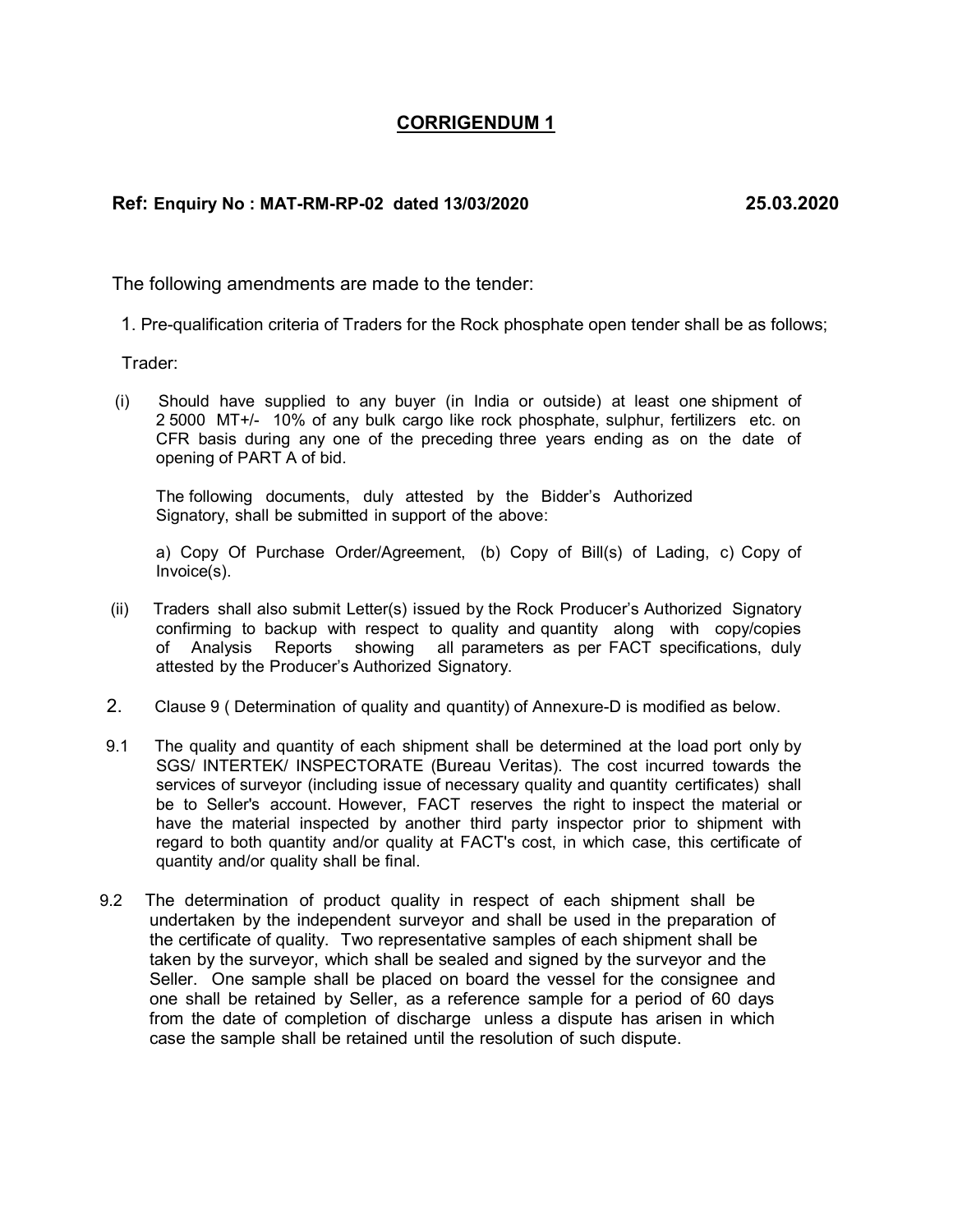## CORRIGENDUM 1

## Ref: Enquiry No : MAT-RM-RP-02 dated 13/03/2020 25.03.2020

The following amendments are made to the tender:

1. Pre-qualification criteria of Traders for the Rock phosphate open tender shall be as follows;

Trader:

 (i) Should have supplied to any buyer (in India or outside) at least one shipment of 2 5000 MT+/- 10% of any bulk cargo like rock phosphate, sulphur, fertilizers etc. on CFR basis during any one of the preceding three years ending as on the date of opening of PART A of bid.

The following documents, duly attested by the Bidder's Authorized Signatory, shall be submitted in support of the above:

a) Copy Of Purchase Order/Agreement, (b) Copy of Bill(s) of Lading, c) Copy of Invoice(s).

- (ii) Traders shall also submit Letter(s) issued by the Rock Producer's Authorized Signatory confirming to backup with respect to quality and quantity along with copy/copies of Analysis Reports showing all parameters as per FACT specifications, duly attested by the Producer's Authorized Signatory.
- 2. Clause 9 ( Determination of quality and quantity) of Annexure-D is modified as below.
- 9.1 The quality and quantity of each shipment shall be determined at the load port only by SGS/ INTERTEK/ INSPECTORATE (Bureau Veritas). The cost incurred towards the services of surveyor (including issue of necessary quality and quantity certificates) shall be to Seller's account. However, FACT reserves the right to inspect the material or have the material inspected by another third party inspector prior to shipment with regard to both quantity and/or quality at FACT's cost, in which case, this certificate of quantity and/or quality shall be final.
- 9.2 The determination of product quality in respect of each shipment shall be undertaken by the independent surveyor and shall be used in the preparation of the certificate of quality. Two representative samples of each shipment shall be taken by the surveyor, which shall be sealed and signed by the surveyor and the Seller. One sample shall be placed on board the vessel for the consignee and one shall be retained by Seller, as a reference sample for a period of 60 days from the date of completion of discharge unless a dispute has arisen in which case the sample shall be retained until the resolution of such dispute.